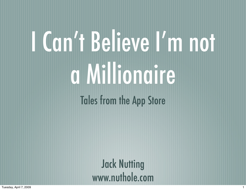# I Can't Believe I'm not a Millionaire Tales from the App Store

Jack Nutting [www.nuthole.com](http://www.nuthole.com)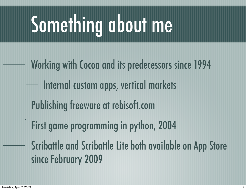# Something about me

Working with Cocoa and its predecessors since 1994 Internal custom apps, vertical markets Publishing freeware at rebisoft.com First game programming in python, 2004 Scribattle and Scribattle Lite both available on App Store since February 2009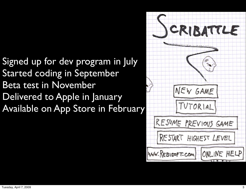#### Signed up for dev program in July Started coding in September Beta test in November Delivered to Apple in January Available on App Store in February

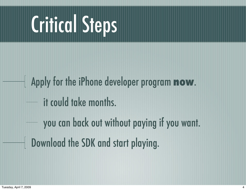## Critical Steps

Apply for the iPhone developer program **now**. it could take months. you can back out without paying if you want. **Download the SDK and start playing.**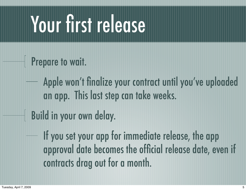## Your first release

- Prepare to wait.
	- Apple won't finalize your contract until you've uploaded an app. This last step can take weeks.
- Build in your own delay. ╢
	- If you set your app for immediate release, the app approval date becomes the official release date, even if contracts drag out for a month.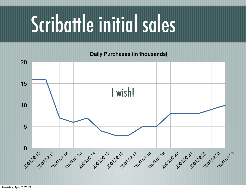## Scribattle initial sales

**Daily Purchases (in thousands)**

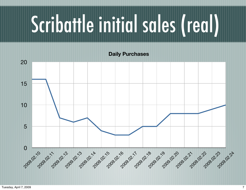# Scribattle initial sales (real)

**Daily Purchases**

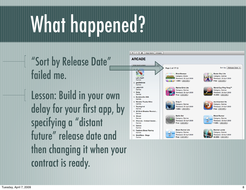# What happened?

"Sort by Release Date" failed me.

Lesson: Build in your own delay for your first app, by specifying a "distant future" release date and then changing it when your contract is ready.

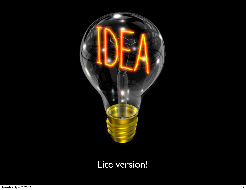

#### Lite version!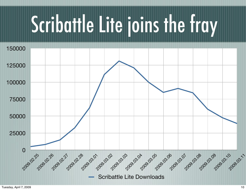## Scribattle Lite joins the fray

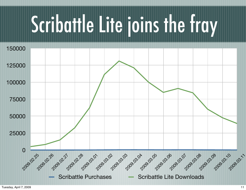## Scribattle Lite joins the fray

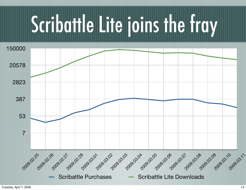## Scribattle Lite joins the fray

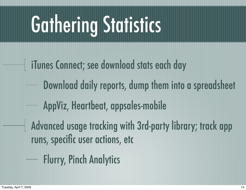## Gathering Statistics

iTunes Connect; see download stats each day Download daily reports, dump them into a spreadsheet AppViz, Heartbeat, appsales-mobile Advanced usage tracking with 3rd-party library; track app runs, specific user actions, etc Flurry, Pinch Analytics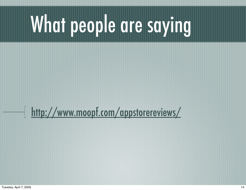# What people are saying

#### <http://www.moopf.com/appstorereviews/>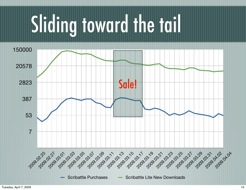# Sliding toward the tail

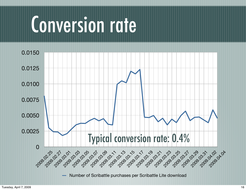### Conversion rate

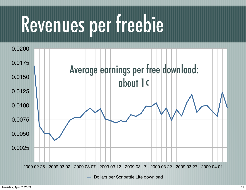### Revenues per freebie

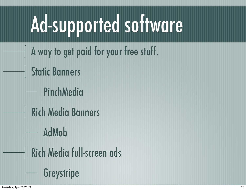## Ad-supported software

- A way to get paid for your free stuff.
- Static Banners
	- PinchMedia
- Rich Media Banners
	- AdMob
	- Rich Media full-screen ads
		- **Greystripe**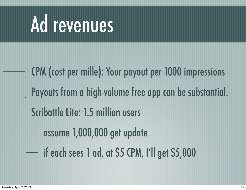### Ad revenues

CPM (cost per mille): Your payout per 1000 impressions Payouts from a high-volume free app can be substantial. Scribattle Lite: 1.5 million users assume 1,000,000 get update if each sees 1 ad, at \$5 CPM, I'll get \$5,000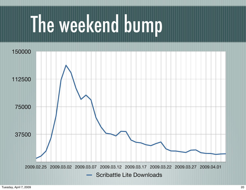### The weekend bump

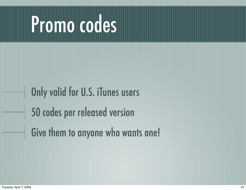### Promo codes

Only valid for U.S. iTunes users 50 codes per released version Give them to anyone who wants one!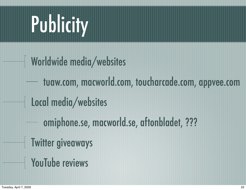### Publicity

- Worldwide media/websites tuaw.com, macworld.com, toucharcade.com, appvee.com Local media/websites
	- omiphone.se, macworld.se, aftonbladet, ???
- Twitter giveaways
- YouTube reviews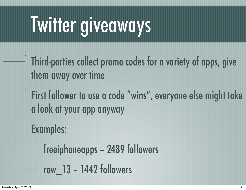### Twitter giveaways

- Third-parties collect promo codes for a variety of apps, give them away over time
- First follower to use a code "wins", everyone else might take a look at your app anyway
- Examples:
	- freeiphoneapps 2489 followers row\_13 – 1442 followers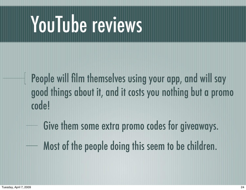### YouTube reviews

People will film themselves using your app, and will say good things about it, and it costs you nothing but a promo code!

Give them some extra promo codes for giveaways. Most of the people doing this seem to be children.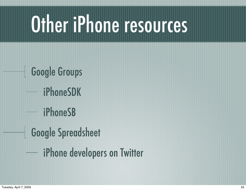## Other iPhone resources

Google Groups iPhoneSDK iPhoneSB Google Spreadsheet iPhone developers on Twitter